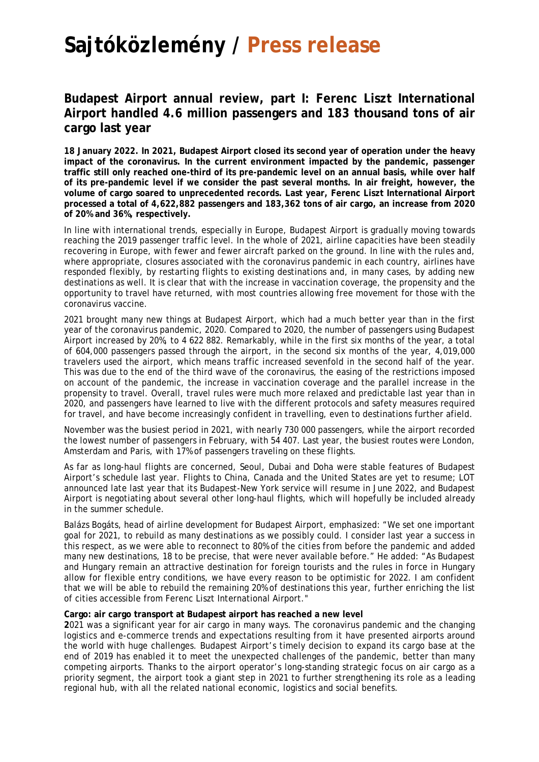## **Sajtóközlemény / Press release**

## **Budapest Airport annual review, part I: Ferenc Liszt International Airport handled 4.6 million passengers and 183 thousand tons of air cargo last year**

**18 January 2022. In 2021, Budapest Airport closed its second year of operation under the heavy impact of the coronavirus. In the current environment impacted by the pandemic, passenger traffic still only reached one-third of its pre-pandemic level on an annual basis, while over half of its pre-pandemic level if we consider the past several months. In air freight, however, the volume of cargo soared to unprecedented records. Last year, Ferenc Liszt International Airport processed a total of 4,622,882 passengers and 183,362 tons of air cargo, an increase from 2020 of 20% and 36%, respectively.**

In line with international trends, especially in Europe, Budapest Airport is gradually moving towards reaching the 2019 passenger traffic level. In the whole of 2021, airline capacities have been steadily recovering in Europe, with fewer and fewer aircraft parked on the ground. In line with the rules and, where appropriate, closures associated with the coronavirus pandemic in each country, airlines have responded flexibly, by restarting flights to existing destinations and, in many cases, by adding new destinations as well. It is clear that with the increase in vaccination coverage, the propensity and the opportunity to travel have returned, with most countries allowing free movement for those with the coronavirus vaccine.

2021 brought many new things at Budapest Airport, which had a much better year than in the first year of the coronavirus pandemic, 2020. Compared to 2020, the number of passengers using Budapest Airport increased by 20%, to 4 622 882. Remarkably, while in the first six months of the year, a total of 604,000 passengers passed through the airport, in the second six months of the year, 4,019,000 travelers used the airport, which means traffic increased sevenfold in the second half of the year. This was due to the end of the third wave of the coronavirus, the easing of the restrictions imposed on account of the pandemic, the increase in vaccination coverage and the parallel increase in the propensity to travel. Overall, travel rules were much more relaxed and predictable last year than in 2020, and passengers have learned to live with the different protocols and safety measures required for travel, and have become increasingly confident in travelling, even to destinations further afield.

November was the busiest period in 2021, with nearly 730 000 passengers, while the airport recorded the lowest number of passengers in February, with 54 407. Last year, the busiest routes were London, Amsterdam and Paris, with 17% of passengers traveling on these flights.

As far as long-haul flights are concerned, Seoul, Dubai and Doha were stable features of Budapest Airport's schedule last year. Flights to China, Canada and the United States are yet to resume; LOT announced late last year that its Budapest-New York service will resume in June 2022, and Budapest Airport is negotiating about several other long-haul flights, which will hopefully be included already in the summer schedule.

Balázs Bogáts, head of airline development for Budapest Airport, emphasized: "We set one important goal for 2021, to rebuild as many destinations as we possibly could. I consider last year a success in this respect, as we were able to reconnect to 80% of the cities from before the pandemic and added many new destinations, 18 to be precise, that were never available before." He added: "As Budapest and Hungary remain an attractive destination for foreign tourists and the rules in force in Hungary allow for flexible entry conditions, we have every reason to be optimistic for 2022. I am confident that we will be able to rebuild the remaining 20% of destinations this year, further enriching the list of cities accessible from Ferenc Liszt International Airport."

## **Cargo: air cargo transport at Budapest airport has reached a new level**

**2**021 was a significant year for air cargo in many ways. The coronavirus pandemic and the changing logistics and e-commerce trends and expectations resulting from it have presented airports around the world with huge challenges. Budapest Airport's timely decision to expand its cargo base at the end of 2019 has enabled it to meet the unexpected challenges of the pandemic, better than many competing airports. Thanks to the airport operator's long-standing strategic focus on air cargo as a priority segment, the airport took a giant step in 2021 to further strengthening its role as a leading regional hub, with all the related national economic, logistics and social benefits.